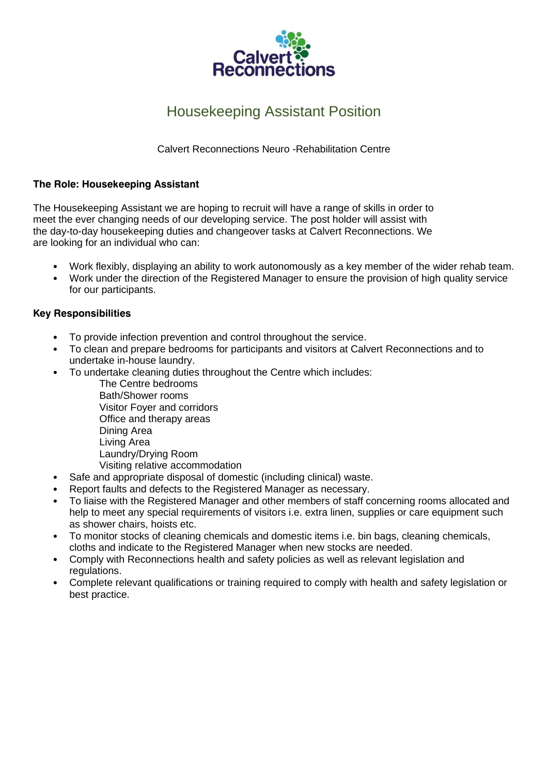

# Housekeeping Assistant Position

Calvert Reconnections Neuro -Rehabilitation Centre

#### **The Role: Housekeeping Assistant**

The Housekeeping Assistant we are hoping to recruit will have a range of skills in order to meet the ever changing needs of our developing service. The post holder will assist with the day-to-day housekeeping duties and changeover tasks at Calvert Reconnections. We are looking for an individual who can:

- Work flexibly, displaying an ability to work autonomously as a key member of the wider rehab team.
- Work under the direction of the Registered Manager to ensure the provision of high quality service for our participants.

#### **Key Responsibilities**

- To provide infection prevention and control throughout the service.
- To clean and prepare bedrooms for participants and visitors at Calvert Reconnections and to undertake in-house laundry.
- To undertake cleaning duties throughout the Centre which includes:
	- The Centre bedrooms Bath/Shower rooms Visitor Foyer and corridors Office and therapy areas Dining Area Living Area Laundry/Drying Room Visiting relative accommodation
- Safe and appropriate disposal of domestic (including clinical) waste.
- Report faults and defects to the Registered Manager as necessary.
- To liaise with the Registered Manager and other members of staff concerning rooms allocated and help to meet any special requirements of visitors i.e. extra linen, supplies or care equipment such as shower chairs, hoists etc.
- To monitor stocks of cleaning chemicals and domestic items i.e. bin bags, cleaning chemicals, cloths and indicate to the Registered Manager when new stocks are needed.
- Comply with Reconnections health and safety policies as well as relevant legislation and regulations.
- Complete relevant qualifications or training required to comply with health and safety legislation or best practice.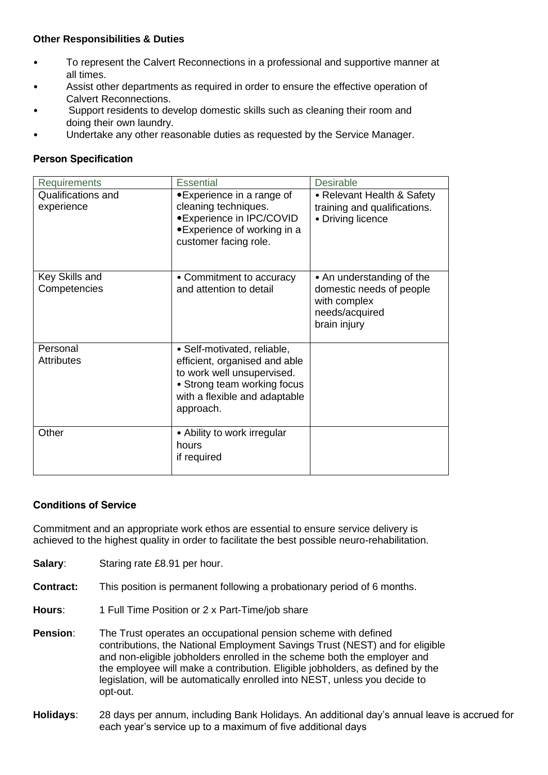#### **Other Responsibilities & Duties**

- To represent the Calvert Reconnections in a professional and supportive manner at all times.
- Assist other departments as required in order to ensure the effective operation of Calvert Reconnections.
- Support residents to develop domestic skills such as cleaning their room and doing their own laundry.
- Undertake any other reasonable duties as requested by the Service Manager.

### **Person Specification**

| <b>Requirements</b>              | <b>Essential</b>                                                                                                                                                        | <b>Desirable</b>                                                                                        |
|----------------------------------|-------------------------------------------------------------------------------------------------------------------------------------------------------------------------|---------------------------------------------------------------------------------------------------------|
| Qualifications and<br>experience | • Experience in a range of<br>cleaning techniques.<br>• Experience in IPC/COVID<br>• Experience of working in a<br>customer facing role.                                | • Relevant Health & Safety<br>training and qualifications.<br>• Driving licence                         |
| Key Skills and<br>Competencies   | • Commitment to accuracy<br>and attention to detail                                                                                                                     | • An understanding of the<br>domestic needs of people<br>with complex<br>needs/acquired<br>brain injury |
| Personal<br><b>Attributes</b>    | • Self-motivated, reliable,<br>efficient, organised and able<br>to work well unsupervised.<br>• Strong team working focus<br>with a flexible and adaptable<br>approach. |                                                                                                         |
| Other                            | • Ability to work irregular<br>hours<br>if required                                                                                                                     |                                                                                                         |

#### **Conditions of Service**

Commitment and an appropriate work ethos are essential to ensure service delivery is achieved to the highest quality in order to facilitate the best possible neuro-rehabilitation.

- **Salary:** Staring rate £8.91 per hour.
- **Contract:** This position is permanent following a probationary period of 6 months.
- **Hours**: 1 Full Time Position or 2 x Part-Time/job share
- **Pension:** The Trust operates an occupational pension scheme with defined contributions, the National Employment Savings Trust (NEST) and for eligible and non-eligible jobholders enrolled in the scheme both the employer and the employee will make a contribution. Eligible jobholders, as defined by the legislation, will be automatically enrolled into NEST, unless you decide to opt-out.
- **Holidays**: 28 days per annum, including Bank Holidays. An additional day's annual leave is accrued for each year's service up to a maximum of five additional days